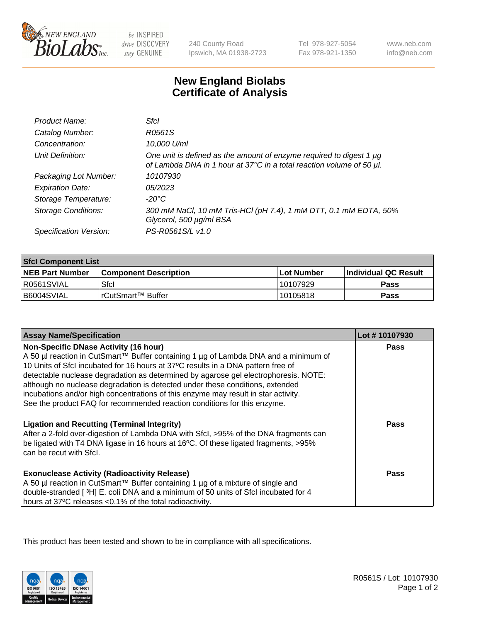

 $be$  INSPIRED drive DISCOVERY stay GENUINE

240 County Road Ipswich, MA 01938-2723 Tel 978-927-5054 Fax 978-921-1350

www.neb.com info@neb.com

## **New England Biolabs Certificate of Analysis**

| Product Name:              | Sfcl                                                                                                                                        |
|----------------------------|---------------------------------------------------------------------------------------------------------------------------------------------|
| Catalog Number:            | R0561S                                                                                                                                      |
| Concentration:             | 10,000 U/ml                                                                                                                                 |
| Unit Definition:           | One unit is defined as the amount of enzyme required to digest 1 µg<br>of Lambda DNA in 1 hour at 37°C in a total reaction volume of 50 µl. |
| Packaging Lot Number:      | 10107930                                                                                                                                    |
| <b>Expiration Date:</b>    | 05/2023                                                                                                                                     |
| Storage Temperature:       | -20°C                                                                                                                                       |
| <b>Storage Conditions:</b> | 300 mM NaCl, 10 mM Tris-HCl (pH 7.4), 1 mM DTT, 0.1 mM EDTA, 50%<br>Glycerol, 500 µg/ml BSA                                                 |
| Specification Version:     | PS-R0561S/L v1.0                                                                                                                            |

| <b>Sfcl Component List</b> |                              |              |                             |  |
|----------------------------|------------------------------|--------------|-----------------------------|--|
| <b>NEB Part Number</b>     | <b>Component Description</b> | l Lot Number | <b>Individual QC Result</b> |  |
| R0561SVIAL                 | Sfcl                         | 10107929     | Pass                        |  |
| B6004SVIAL                 | l rCutSmart™ Buffer          | 10105818     | Pass                        |  |

| <b>Assay Name/Specification</b>                                                                                                                                                                                                                                                                                                                                                                                                                                                       | Lot #10107930 |
|---------------------------------------------------------------------------------------------------------------------------------------------------------------------------------------------------------------------------------------------------------------------------------------------------------------------------------------------------------------------------------------------------------------------------------------------------------------------------------------|---------------|
| <b>Non-Specific DNase Activity (16 hour)</b><br>A 50 µl reaction in CutSmart™ Buffer containing 1 µg of Lambda DNA and a minimum of<br>10 Units of SfcI incubated for 16 hours at 37°C results in a DNA pattern free of<br>detectable nuclease degradation as determined by agarose gel electrophoresis. NOTE:<br>although no nuclease degradation is detected under these conditions, extended<br>incubations and/or high concentrations of this enzyme may result in star activity. | <b>Pass</b>   |
| See the product FAQ for recommended reaction conditions for this enzyme.<br><b>Ligation and Recutting (Terminal Integrity)</b><br>After a 2-fold over-digestion of Lambda DNA with Sfcl, >95% of the DNA fragments can<br>be ligated with T4 DNA ligase in 16 hours at 16°C. Of these ligated fragments, >95%<br>can be recut with Sfcl.                                                                                                                                              | Pass          |
| <b>Exonuclease Activity (Radioactivity Release)</b><br>A 50 µl reaction in CutSmart™ Buffer containing 1 µg of a mixture of single and<br>double-stranded [3H] E. coli DNA and a minimum of 50 units of Sfcl incubated for 4<br>hours at 37°C releases <0.1% of the total radioactivity.                                                                                                                                                                                              | Pass          |

This product has been tested and shown to be in compliance with all specifications.